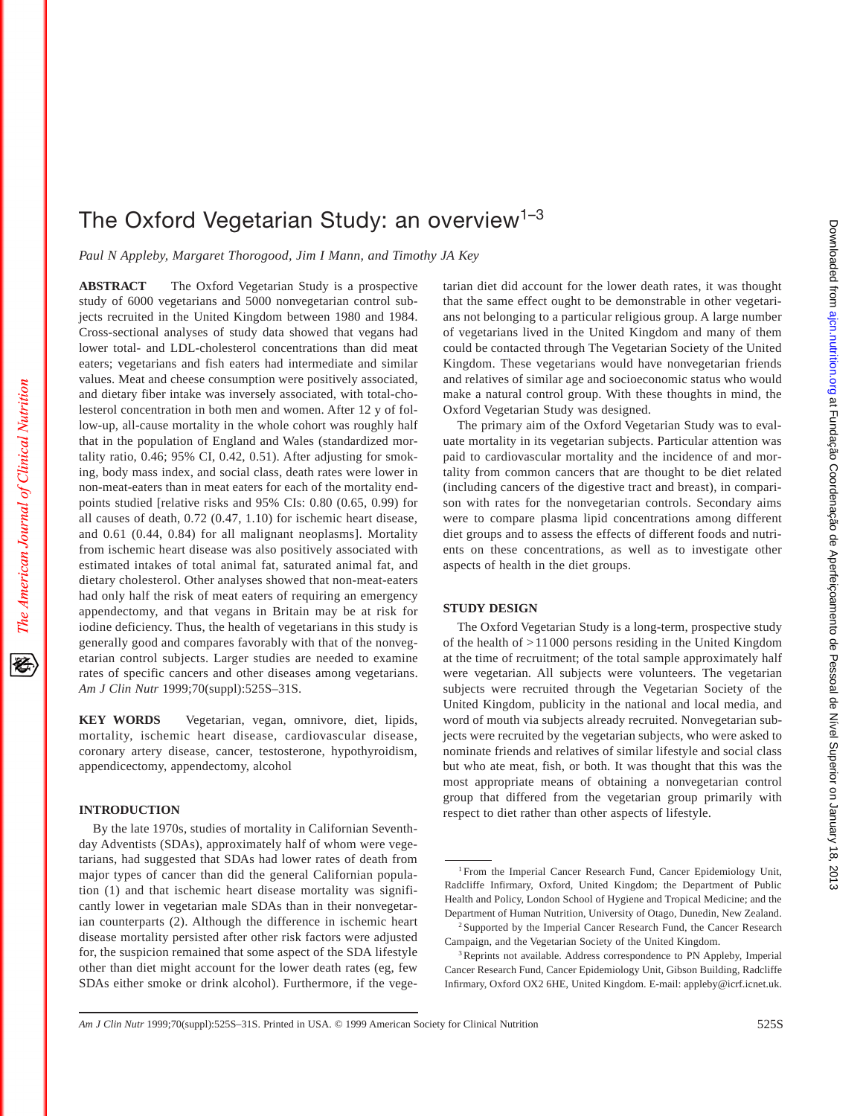# The Oxford Vegetarian Study: an overview<sup>1-3</sup>

*Paul N Appleby, Margaret Thorogood, Jim I Mann, and Timothy JA Key*

**ABSTRACT** The Oxford Vegetarian Study is a prospective study of 6000 vegetarians and 5000 nonvegetarian control subjects recruited in the United Kingdom between 1980 and 1984. Cross-sectional analyses of study data showed that vegans had lower total- and LDL-cholesterol concentrations than did meat eaters; vegetarians and fish eaters had intermediate and similar values. Meat and cheese consumption were positively associated, and dietary fiber intake was inversely associated, with total-cholesterol concentration in both men and women. After 12 y of follow-up, all-cause mortality in the whole cohort was roughly half that in the population of England and Wales (standardized mortality ratio, 0.46; 95% CI, 0.42, 0.51). After adjusting for smoking, body mass index, and social class, death rates were lower in non-meat-eaters than in meat eaters for each of the mortality endpoints studied [relative risks and 95% CIs: 0.80 (0.65, 0.99) for all causes of death, 0.72 (0.47, 1.10) for ischemic heart disease, and 0.61 (0.44, 0.84) for all malignant neoplasms]. Mortality from ischemic heart disease was also positively associated with estimated intakes of total animal fat, saturated animal fat, and dietary cholesterol. Other analyses showed that non-meat-eaters had only half the risk of meat eaters of requiring an emergency appendectomy, and that vegans in Britain may be at risk for iodine deficiency. Thus, the health of vegetarians in this study is generally good and compares favorably with that of the nonvegetarian control subjects. Larger studies are needed to examine rates of specific cancers and other diseases among vegetarians. *Am J Clin Nutr* 1999;70(suppl):525S–31S.

**KEY WORDS** Vegetarian, vegan, omnivore, diet, lipids, mortality, ischemic heart disease, cardiovascular disease, coronary artery disease, cancer, testosterone, hypothyroidism, appendicectomy, appendectomy, alcohol

## **INTRODUCTION**

The American Journal of Clinical Nutrition

By the late 1970s, studies of mortality in Californian Seventhday Adventists (SDAs), approximately half of whom were vegetarians, had suggested that SDAs had lower rates of death from major types of cancer than did the general Californian population (1) and that ischemic heart disease mortality was significantly lower in vegetarian male SDAs than in their nonvegetarian counterparts (2). Although the difference in ischemic heart disease mortality persisted after other risk factors were adjusted for, the suspicion remained that some aspect of the SDA lifestyle other than diet might account for the lower death rates (eg, few SDAs either smoke or drink alcohol). Furthermore, if the vegetarian diet did account for the lower death rates, it was thought that the same effect ought to be demonstrable in other vegetarians not belonging to a particular religious group. A large number of vegetarians lived in the United Kingdom and many of them could be contacted through The Vegetarian Society of the United Kingdom. These vegetarians would have nonvegetarian friends and relatives of similar age and socioeconomic status who would make a natural control group. With these thoughts in mind, the Oxford Vegetarian Study was designed.

The primary aim of the Oxford Vegetarian Study was to evaluate mortality in its vegetarian subjects. Particular attention was paid to cardiovascular mortality and the incidence of and mortality from common cancers that are thought to be diet related (including cancers of the digestive tract and breast), in comparison with rates for the nonvegetarian controls. Secondary aims were to compare plasma lipid concentrations among different diet groups and to assess the effects of different foods and nutrients on these concentrations, as well as to investigate other aspects of health in the diet groups.

## **STUDY DESIGN**

The Oxford Vegetarian Study is a long-term, prospective study of the health of >11000 persons residing in the United Kingdom at the time of recruitment; of the total sample approximately half were vegetarian. All subjects were volunteers. The vegetarian subjects were recruited through the Vegetarian Society of the United Kingdom, publicity in the national and local media, and word of mouth via subjects already recruited. Nonvegetarian subjects were recruited by the vegetarian subjects, who were asked to nominate friends and relatives of similar lifestyle and social class but who ate meat, fish, or both. It was thought that this was the most appropriate means of obtaining a nonvegetarian control group that differed from the vegetarian group primarily with respect to diet rather than other aspects of lifestyle.

<sup>&</sup>lt;sup>1</sup> From the Imperial Cancer Research Fund, Cancer Epidemiology Unit, Radcliffe Infirmary, Oxford, United Kingdom; the Department of Public Health and Policy, London School of Hygiene and Tropical Medicine; and the Department of Human Nutrition, University of Otago, Dunedin, New Zealand.

<sup>&</sup>lt;sup>2</sup> Supported by the Imperial Cancer Research Fund, the Cancer Research Campaign, and the Vegetarian Society of the United Kingdom.

<sup>&</sup>lt;sup>3</sup>Reprints not available. Address correspondence to PN Appleby, Imperial Cancer Research Fund, Cancer Epidemiology Unit, Gibson Building, Radcliffe Infirmary, Oxford OX2 6HE, United Kingdom. E-mail: appleby@icrf.icnet.uk.

*Am J Clin Nutr* 1999;70(suppl):525S–31S. Printed in USA. © 1999 American Society for Clinical Nutrition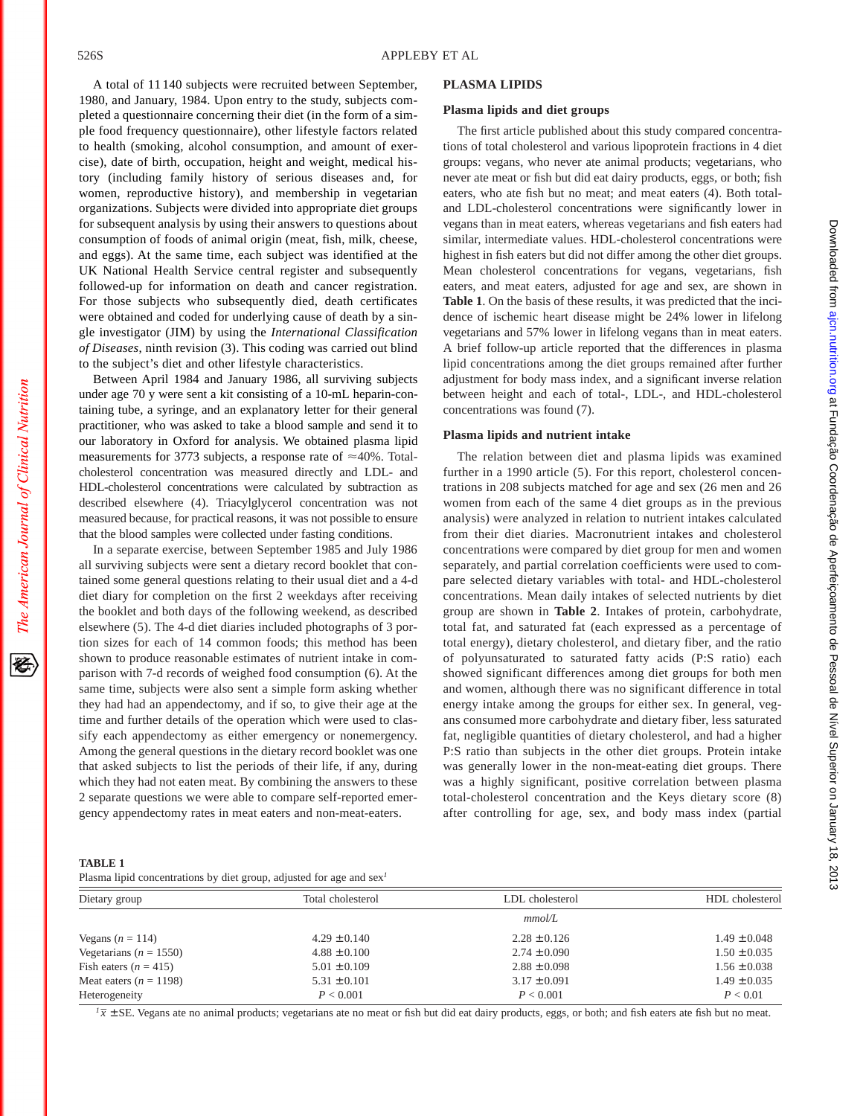A total of 11 140 subjects were recruited between September, 1980, and January, 1984. Upon entry to the study, subjects completed a questionnaire concerning their diet (in the form of a simple food frequency questionnaire), other lifestyle factors related to health (smoking, alcohol consumption, and amount of exercise), date of birth, occupation, height and weight, medical history (including family history of serious diseases and, for women, reproductive history), and membership in vegetarian organizations. Subjects were divided into appropriate diet groups for subsequent analysis by using their answers to questions about consumption of foods of animal origin (meat, fish, milk, cheese, and eggs). At the same time, each subject was identified at the UK National Health Service central register and subsequently followed-up for information on death and cancer registration. For those subjects who subsequently died, death certificates were obtained and coded for underlying cause of death by a single investigator (JIM) by using the *International Classification of Diseases*, ninth revision (3). This coding was carried out blind to the subject's diet and other lifestyle characteristics.

Between April 1984 and January 1986, all surviving subjects under age 70 y were sent a kit consisting of a 10-mL heparin-containing tube, a syringe, and an explanatory letter for their general practitioner, who was asked to take a blood sample and send it to our laboratory in Oxford for analysis. We obtained plasma lipid measurements for 3773 subjects, a response rate of  $\approx$ 40%. Totalcholesterol concentration was measured directly and LDL- and HDL-cholesterol concentrations were calculated by subtraction as described elsewhere (4). Triacylglycerol concentration was not measured because, for practical reasons, it was not possible to ensure that the blood samples were collected under fasting conditions.

In a separate exercise, between September 1985 and July 1986 all surviving subjects were sent a dietary record booklet that contained some general questions relating to their usual diet and a 4-d diet diary for completion on the first 2 weekdays after receiving the booklet and both days of the following weekend, as described elsewhere (5). The 4-d diet diaries included photographs of 3 portion sizes for each of 14 common foods; this method has been shown to produce reasonable estimates of nutrient intake in comparison with 7-d records of weighed food consumption (6). At the same time, subjects were also sent a simple form asking whether they had had an appendectomy, and if so, to give their age at the time and further details of the operation which were used to classify each appendectomy as either emergency or nonemergency. Among the general questions in the dietary record booklet was one that asked subjects to list the periods of their life, if any, during which they had not eaten meat. By combining the answers to these 2 separate questions we were able to compare self-reported emergency appendectomy rates in meat eaters and non-meat-eaters.

## **PLASMA LIPIDS**

#### **Plasma lipids and diet groups**

The first article published about this study compared concentrations of total cholesterol and various lipoprotein fractions in 4 diet groups: vegans, who never ate animal products; vegetarians, who never ate meat or fish but did eat dairy products, eggs, or both; fish eaters, who ate fish but no meat; and meat eaters (4). Both totaland LDL-cholesterol concentrations were significantly lower in vegans than in meat eaters, whereas vegetarians and fish eaters had similar, intermediate values. HDL-cholesterol concentrations were highest in fish eaters but did not differ among the other diet groups. Mean cholesterol concentrations for vegans, vegetarians, fish eaters, and meat eaters, adjusted for age and sex, are shown in **Table 1**. On the basis of these results, it was predicted that the incidence of ischemic heart disease might be 24% lower in lifelong vegetarians and 57% lower in lifelong vegans than in meat eaters. A brief follow-up article reported that the differences in plasma lipid concentrations among the diet groups remained after further adjustment for body mass index, and a significant inverse relation between height and each of total-, LDL-, and HDL-cholesterol concentrations was found (7).

## **Plasma lipids and nutrient intake**

The relation between diet and plasma lipids was examined further in a 1990 article (5). For this report, cholesterol concentrations in 208 subjects matched for age and sex (26 men and 26 women from each of the same 4 diet groups as in the previous analysis) were analyzed in relation to nutrient intakes calculated from their diet diaries. Macronutrient intakes and cholesterol concentrations were compared by diet group for men and women separately, and partial correlation coefficients were used to compare selected dietary variables with total- and HDL-cholesterol concentrations. Mean daily intakes of selected nutrients by diet group are shown in **Table 2**. Intakes of protein, carbohydrate, total fat, and saturated fat (each expressed as a percentage of total energy), dietary cholesterol, and dietary fiber, and the ratio of polyunsaturated to saturated fatty acids (P:S ratio) each showed significant differences among diet groups for both men and women, although there was no significant difference in total energy intake among the groups for either sex. In general, vegans consumed more carbohydrate and dietary fiber, less saturated fat, negligible quantities of dietary cholesterol, and had a higher P:S ratio than subjects in the other diet groups. Protein intake was generally lower in the non-meat-eating diet groups. There was a highly significant, positive correlation between plasma total-cholesterol concentration and the Keys dietary score (8) after controlling for age, sex, and body mass index (partial Downloaded from ajon.nutrition.org at Fundação Coordenação de Aperfeiçoamento de Pessoal de Nível Superior on January 18, 2013 Downloaded from [ajcn.nutrition.org](http://ajcn.nutrition.org/) at Fundação Coordenação de Aperfeiçoamento de Pessoal de Nível Superior on January 18, 2013

**TABLE 1**

Plasma lipid concentrations by diet group, adjusted for age and sex*<sup>1</sup>*

| Dietary group              | Total cholesterol | LDL cholesterol  | HDL cholesterol  |  |
|----------------------------|-------------------|------------------|------------------|--|
|                            |                   | mmol/L           |                  |  |
| Vegans $(n = 114)$         | $4.29 \pm 0.140$  | $2.28 \pm 0.126$ | $1.49 \pm 0.048$ |  |
| Vegetarians ( $n = 1550$ ) | $4.88 \pm 0.100$  | $2.74 \pm 0.090$ | $1.50 \pm 0.035$ |  |
| Fish eaters $(n = 415)$    | $5.01 \pm 0.109$  | $2.88 \pm 0.098$ | $1.56 \pm 0.038$ |  |
| Meat eaters $(n = 1198)$   | $5.31 \pm 0.101$  | $3.17 \pm 0.091$ | $1.49 \pm 0.035$ |  |
| Heterogeneity              | P < 0.001         | P < 0.001        | P < 0.01         |  |

 $\sqrt{7}$   $\pm$  SE. Vegans ate no animal products; vegetarians ate no meat or fish but did eat dairy products, eggs, or both; and fish eaters ate fish but no meat.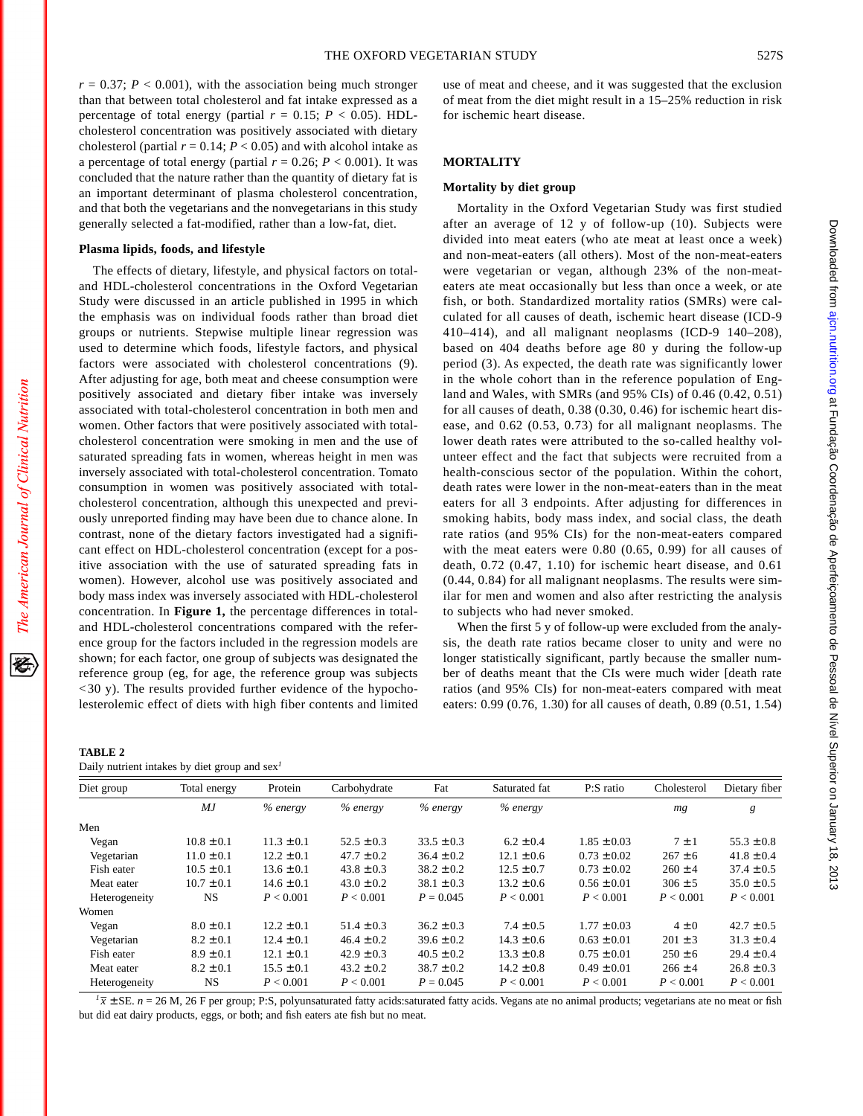$r = 0.37$ ;  $P < 0.001$ ), with the association being much stronger than that between total cholesterol and fat intake expressed as a percentage of total energy (partial  $r = 0.15$ ;  $P < 0.05$ ). HDLcholesterol concentration was positively associated with dietary cholesterol (partial  $r = 0.14$ ;  $P < 0.05$ ) and with alcohol intake as a percentage of total energy (partial  $r = 0.26$ ;  $P < 0.001$ ). It was concluded that the nature rather than the quantity of dietary fat is an important determinant of plasma cholesterol concentration, and that both the vegetarians and the nonvegetarians in this study generally selected a fat-modified, rather than a low-fat, diet.

#### **Plasma lipids, foods, and lifestyle**

The effects of dietary, lifestyle, and physical factors on totaland HDL-cholesterol concentrations in the Oxford Vegetarian Study were discussed in an article published in 1995 in which the emphasis was on individual foods rather than broad diet groups or nutrients. Stepwise multiple linear regression was used to determine which foods, lifestyle factors, and physical factors were associated with cholesterol concentrations (9). After adjusting for age, both meat and cheese consumption were positively associated and dietary fiber intake was inversely associated with total-cholesterol concentration in both men and women. Other factors that were positively associated with totalcholesterol concentration were smoking in men and the use of saturated spreading fats in women, whereas height in men was inversely associated with total-cholesterol concentration. Tomato consumption in women was positively associated with totalcholesterol concentration, although this unexpected and previously unreported finding may have been due to chance alone. In contrast, none of the dietary factors investigated had a significant effect on HDL-cholesterol concentration (except for a positive association with the use of saturated spreading fats in women). However, alcohol use was positively associated and body mass index was inversely associated with HDL-cholesterol concentration. In **Figure 1,** the percentage differences in totaland HDL-cholesterol concentrations compared with the reference group for the factors included in the regression models are shown; for each factor, one group of subjects was designated the reference group (eg, for age, the reference group was subjects < 30 y). The results provided further evidence of the hypocholesterolemic effect of diets with high fiber contents and limited

| <b>TABLE 2</b>                                  |  |  |  |
|-------------------------------------------------|--|--|--|
| Daily nutrient intakes by diet group and $sex1$ |  |  |  |

| Diet group    | Total energy   | Protein        | Carbohydrate   | Fat            | Saturated fat  | P:S ratio       | Cholesterol | Dietary fiber  |
|---------------|----------------|----------------|----------------|----------------|----------------|-----------------|-------------|----------------|
|               | МJ             | $%$ energy     | $%$ energy     | $%$ energy     | $%$ energy     |                 | mg          | g              |
| Men           |                |                |                |                |                |                 |             |                |
| Vegan         | $10.8 \pm 0.1$ | $11.3 \pm 0.1$ | $52.5 \pm 0.3$ | $33.5 \pm 0.3$ | $6.2 \pm 0.4$  | $1.85 \pm 0.03$ | $7 \pm 1$   | $55.3 \pm 0.8$ |
| Vegetarian    | $11.0 \pm 0.1$ | $12.2 \pm 0.1$ | $47.7 \pm 0.2$ | $36.4 \pm 0.2$ | $12.1 \pm 0.6$ | $0.73 \pm 0.02$ | $267 \pm 6$ | $41.8 \pm 0.4$ |
| Fish eater    | $10.5 \pm 0.1$ | $13.6 \pm 0.1$ | $43.8 \pm 0.3$ | $38.2 \pm 0.2$ | $12.5 \pm 0.7$ | $0.73 \pm 0.02$ | $260 \pm 4$ | $37.4 \pm 0.5$ |
| Meat eater    | $10.7 \pm 0.1$ | $14.6 \pm 0.1$ | $43.0 \pm 0.2$ | $38.1 \pm 0.3$ | $13.2 \pm 0.6$ | $0.56 \pm 0.01$ | $306 \pm 5$ | $35.0 \pm 0.5$ |
| Heterogeneity | NS.            | P < 0.001      | P < 0.001      | $P = 0.045$    | P < 0.001      | P < 0.001       | P < 0.001   | P < 0.001      |
| Women         |                |                |                |                |                |                 |             |                |
| Vegan         | $8.0 \pm 0.1$  | $12.2 \pm 0.1$ | $51.4 \pm 0.3$ | $36.2 \pm 0.3$ | $7.4 \pm 0.5$  | $1.77 \pm 0.03$ | $4\pm0$     | $42.7 \pm 0.5$ |
| Vegetarian    | $8.2 \pm 0.1$  | $12.4 \pm 0.1$ | $46.4 \pm 0.2$ | $39.6 \pm 0.2$ | $14.3 \pm 0.6$ | $0.63 \pm 0.01$ | $201 \pm 3$ | $31.3 \pm 0.4$ |
| Fish eater    | $8.9 \pm 0.1$  | $12.1 \pm 0.1$ | $42.9 \pm 0.3$ | $40.5 \pm 0.2$ | $13.3 \pm 0.8$ | $0.75 \pm 0.01$ | $250 \pm 6$ | $29.4 \pm 0.4$ |
| Meat eater    | $8.2 \pm 0.1$  | $15.5 \pm 0.1$ | $43.2 \pm 0.2$ | $38.7 \pm 0.2$ | $14.2 \pm 0.8$ | $0.49 \pm 0.01$ | $266 \pm 4$ | $26.8 \pm 0.3$ |
| Heterogeneity | NS.            | P < 0.001      | P < 0.001      | $P = 0.045$    | P < 0.001      | P < 0.001       | P < 0.001   | P < 0.001      |

 $\sqrt{l}$   $\overline{x}$  ± SE. *n* = 26 M, 26 F per group; P:S, polyunsaturated fatty acids:saturated fatty acids. Vegans ate no animal products; vegetarians ate no meat or fish but did eat dairy products, eggs, or both; and fish eaters ate fish but no meat.

use of meat and cheese, and it was suggested that the exclusion of meat from the diet might result in a 15–25% reduction in risk for ischemic heart disease.

# **MORTALITY**

### **Mortality by diet group**

Mortality in the Oxford Vegetarian Study was first studied after an average of 12 y of follow-up (10). Subjects were divided into meat eaters (who ate meat at least once a week) and non-meat-eaters (all others). Most of the non-meat-eaters were vegetarian or vegan, although 23% of the non-meateaters ate meat occasionally but less than once a week, or ate fish, or both. Standardized mortality ratios (SMRs) were calculated for all causes of death, ischemic heart disease (ICD-9 410–414), and all malignant neoplasms (ICD-9 140–208), based on 404 deaths before age 80 y during the follow-up period (3). As expected, the death rate was significantly lower in the whole cohort than in the reference population of England and Wales, with SMRs (and 95% CIs) of 0.46 (0.42, 0.51) for all causes of death, 0.38 (0.30, 0.46) for ischemic heart disease, and 0.62 (0.53, 0.73) for all malignant neoplasms. The lower death rates were attributed to the so-called healthy volunteer effect and the fact that subjects were recruited from a health-conscious sector of the population. Within the cohort, death rates were lower in the non-meat-eaters than in the meat eaters for all 3 endpoints. After adjusting for differences in smoking habits, body mass index, and social class, the death rate ratios (and 95% CIs) for the non-meat-eaters compared with the meat eaters were 0.80 (0.65, 0.99) for all causes of death, 0.72 (0.47, 1.10) for ischemic heart disease, and 0.61 (0.44, 0.84) for all malignant neoplasms. The results were similar for men and women and also after restricting the analysis to subjects who had never smoked.

When the first 5 y of follow-up were excluded from the analysis, the death rate ratios became closer to unity and were no longer statistically significant, partly because the smaller number of deaths meant that the CIs were much wider [death rate ratios (and 95% CIs) for non-meat-eaters compared with meat eaters: 0.99 (0.76, 1.30) for all causes of death, 0.89 (0.51, 1.54)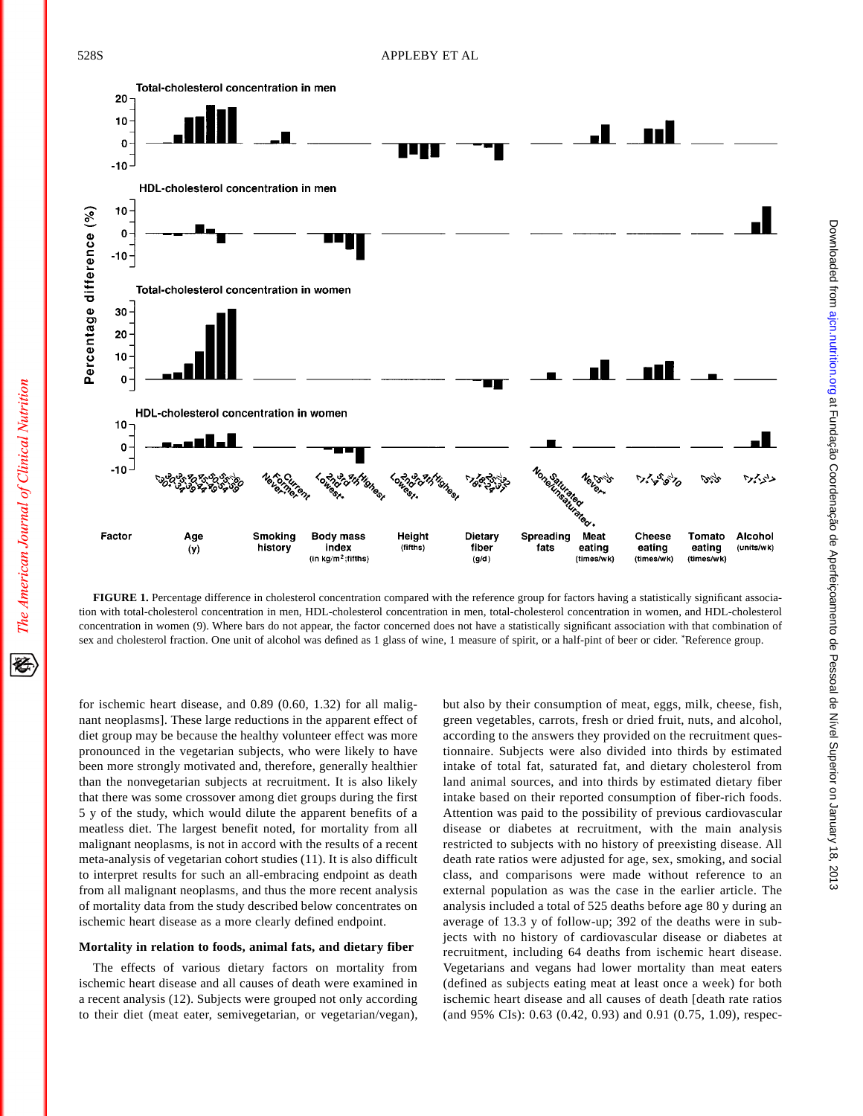

**FIGURE 1.** Percentage difference in cholesterol concentration compared with the reference group for factors having a statistically significant association with total-cholesterol concentration in men, HDL-cholesterol concentration in men, total-cholesterol concentration in women, and HDL-cholesterol concentration in women (9). Where bars do not appear, the factor concerned does not have a statistically significant association with that combination of sex and cholesterol fraction. One unit of alcohol was defined as 1 glass of wine, 1 measure of spirit, or a half-pint of beer or cider. \* Reference group.

for ischemic heart disease, and 0.89 (0.60, 1.32) for all malignant neoplasms]. These large reductions in the apparent effect of diet group may be because the healthy volunteer effect was more pronounced in the vegetarian subjects, who were likely to have been more strongly motivated and, therefore, generally healthier than the nonvegetarian subjects at recruitment. It is also likely that there was some crossover among diet groups during the first 5 y of the study, which would dilute the apparent benefits of a meatless diet. The largest benefit noted, for mortality from all malignant neoplasms, is not in accord with the results of a recent meta-analysis of vegetarian cohort studies (11). It is also difficult to interpret results for such an all-embracing endpoint as death from all malignant neoplasms, and thus the more recent analysis of mortality data from the study described below concentrates on ischemic heart disease as a more clearly defined endpoint.

#### **Mortality in relation to foods, animal fats, and dietary fiber**

The effects of various dietary factors on mortality from ischemic heart disease and all causes of death were examined in a recent analysis (12). Subjects were grouped not only according to their diet (meat eater, semivegetarian, or vegetarian/vegan),

but also by their consumption of meat, eggs, milk, cheese, fish, green vegetables, carrots, fresh or dried fruit, nuts, and alcohol, according to the answers they provided on the recruitment questionnaire. Subjects were also divided into thirds by estimated intake of total fat, saturated fat, and dietary cholesterol from land animal sources, and into thirds by estimated dietary fiber intake based on their reported consumption of fiber-rich foods. Attention was paid to the possibility of previous cardiovascular disease or diabetes at recruitment, with the main analysis restricted to subjects with no history of preexisting disease. All death rate ratios were adjusted for age, sex, smoking, and social class, and comparisons were made without reference to an external population as was the case in the earlier article. The analysis included a total of 525 deaths before age 80 y during an average of 13.3 y of follow-up; 392 of the deaths were in subjects with no history of cardiovascular disease or diabetes at recruitment, including 64 deaths from ischemic heart disease. Vegetarians and vegans had lower mortality than meat eaters (defined as subjects eating meat at least once a week) for both ischemic heart disease and all causes of death [death rate ratios (and 95% CIs): 0.63 (0.42, 0.93) and 0.91 (0.75, 1.09), respec-

The American Journal of Clinical Nutrition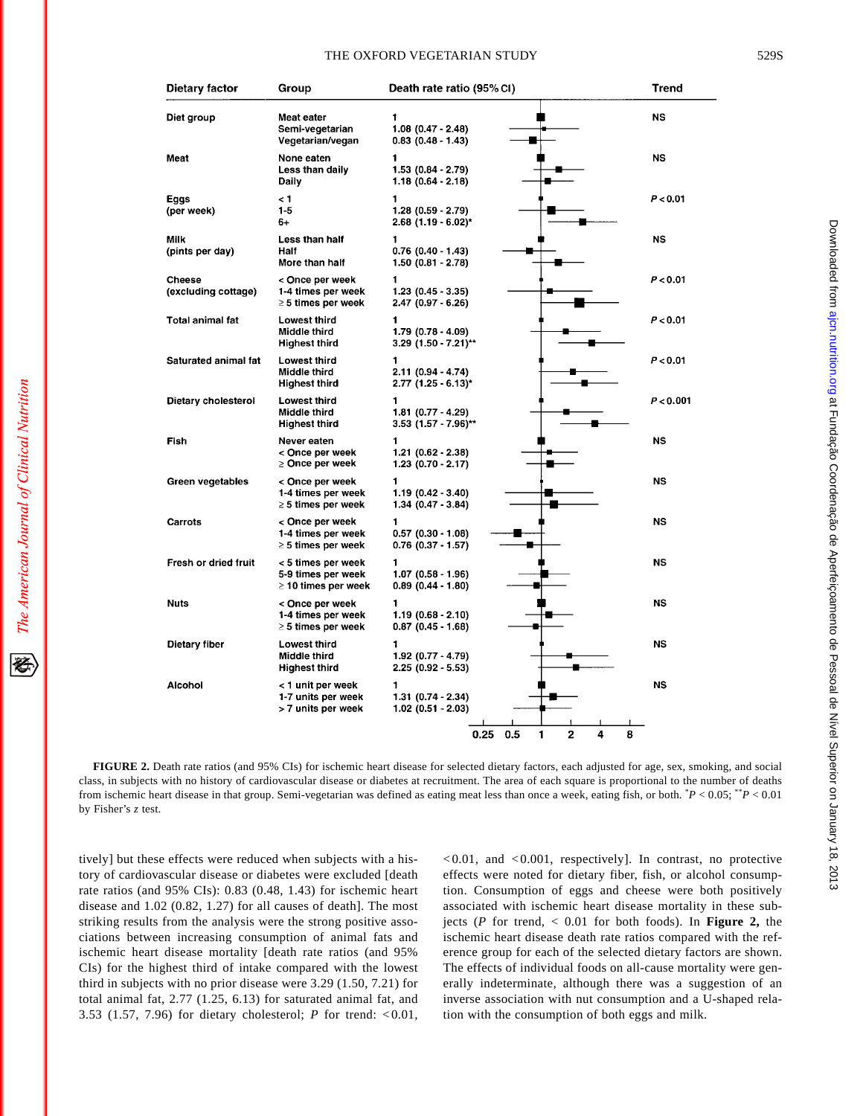#### THE OXFORD VEGETARIAN STUDY 529S

| Dietary factor                | Group                                                                | Death rate ratio (95% CI)                          | <b>Trend</b> |
|-------------------------------|----------------------------------------------------------------------|----------------------------------------------------|--------------|
| Diet group                    | Meat eater<br>Semi-vegetarian<br>Vegetarian/vegan                    | 1<br>$1.08$ (0.47 - 2.48)<br>$0.83(0.48 - 1.43)$   | <b>NS</b>    |
| Meat                          | None eaten<br>Less than daily<br>Daily                               | 1<br>$1.53(0.84 - 2.79)$<br>$1.18(0.64 - 2.18)$    | <b>NS</b>    |
| Eggs<br>(per week)            | < 1<br>$1-5$<br>6+                                                   | 1<br>$1.28$ $(0.59 - 2.79)$<br>2.68 (1.19 - 6.02)* | P < 0.01     |
| Milk<br>(pints per day)       | Less than half<br>Half<br>More than half                             | 1<br>$0.76$ $(0.40 - 1.43)$<br>$1.50(0.81 - 2.78)$ | NS           |
| Cheese<br>(excluding cottage) | < Once per week<br>1-4 times per week<br>$\geq$ 5 times per week     | 1<br>$1.23$ (0.45 - 3.35)<br>$2.47(0.97 - 6.26)$   | P < 0.01     |
| Total animal fat              | <b>Lowest third</b><br>Middle third<br>Highest third                 | 1<br>$1.79(0.78 - 4.09)$<br>$3.29$ (1.50 - 7.21)** | P < 0.01     |
| <b>Saturated animal fat</b>   | <b>Lowest third</b><br>Middle third<br><b>Highest third</b>          | 1<br>$2.11(0.94 - 4.74)$<br>$2.77$ (1.25 - 6.13)*  | P < 0.01     |
| Dietary cholesterol           | <b>Lowest third</b><br>Middle third<br><b>Highest third</b>          | 1<br>$1.81(0.77 - 4.29)$<br>$3.53$ (1.57 - 7.96)** | P < 0.001    |
| Fish                          | Never eaten<br>< Once per week<br>⊵ Once per week                    | 1<br>$1.21(0.62 - 2.38)$<br>$1.23(0.70 - 2.17)$    | NS           |
| Green vegetables              | < Once per week<br>1-4 times per week<br>$\geq$ 5 times per week     | 1<br>$1.19(0.42 - 3.40)$<br>$1.34(0.47 - 3.84)$    | <b>NS</b>    |
| Carrots                       | < Once per week<br>1-4 times per week<br>$\geq$ 5 times per week     | 1<br>$0.57(0.30 - 1.08)$<br>$0.76$ (0.37 - 1.57)   | <b>NS</b>    |
| Fresh or dried fruit          | < 5 times per week<br>5-9 times per week<br>$\geq$ 10 times per week | 1<br>$1.07(0.58 - 1.96)$<br>$0.89(0.44 - 1.80)$    | <b>NS</b>    |
| <b>Nuts</b>                   | < Once per week<br>1-4 times per week<br>$\geq$ 5 times per week     | 1<br>$1.19(0.68 - 2.10)$<br>$0.87(0.45 - 1.68)$    | NS           |
| Dietary fiber                 | <b>Lowest third</b><br><b>Middle third</b><br><b>Highest third</b>   | 1<br>$1.92(0.77 - 4.79)$<br>$2.25(0.92 - 5.53)$    | <b>NS</b>    |
| Alcohol                       | < 1 unit per week<br>1-7 units per week<br>> 7 units per week        | 1<br>$1.31(0.74 - 2.34)$<br>$1.02(0.51 - 2.03)$    | NS           |

**FIGURE 2.** Death rate ratios (and 95% CIs) for ischemic heart disease for selected dietary factors, each adjusted for age, sex, smoking, and social class, in subjects with no history of cardiovascular disease or diabetes at recruitment. The area of each square is proportional to the number of deaths from ischemic heart disease in that group. Semi-vegetarian was defined as eating meat less than once a week, eating fish, or both. \* *P* < 0.05; \*\**P* < 0.01 by Fisher's *z* test.

tively] but these effects were reduced when subjects with a history of cardiovascular disease or diabetes were excluded [death rate ratios (and 95% CIs): 0.83 (0.48, 1.43) for ischemic heart disease and 1.02 (0.82, 1.27) for all causes of death]. The most striking results from the analysis were the strong positive associations between increasing consumption of animal fats and ischemic heart disease mortality [death rate ratios (and 95% CIs) for the highest third of intake compared with the lowest third in subjects with no prior disease were 3.29 (1.50, 7.21) for total animal fat, 2.77 (1.25, 6.13) for saturated animal fat, and 3.53 (1.57, 7.96) for dietary cholesterol; *P* for trend: <0.01,

The American Journal of Clinical Nutrition

经

 $< 0.01$ , and  $< 0.001$ , respectively]. In contrast, no protective effects were noted for dietary fiber, fish, or alcohol consumption. Consumption of eggs and cheese were both positively associated with ischemic heart disease mortality in these subjects (*P* for trend, < 0.01 for both foods). In **Figure 2,** the ischemic heart disease death rate ratios compared with the reference group for each of the selected dietary factors are shown. The effects of individual foods on all-cause mortality were generally indeterminate, although there was a suggestion of an inverse association with nut consumption and a U-shaped relation with the consumption of both eggs and milk.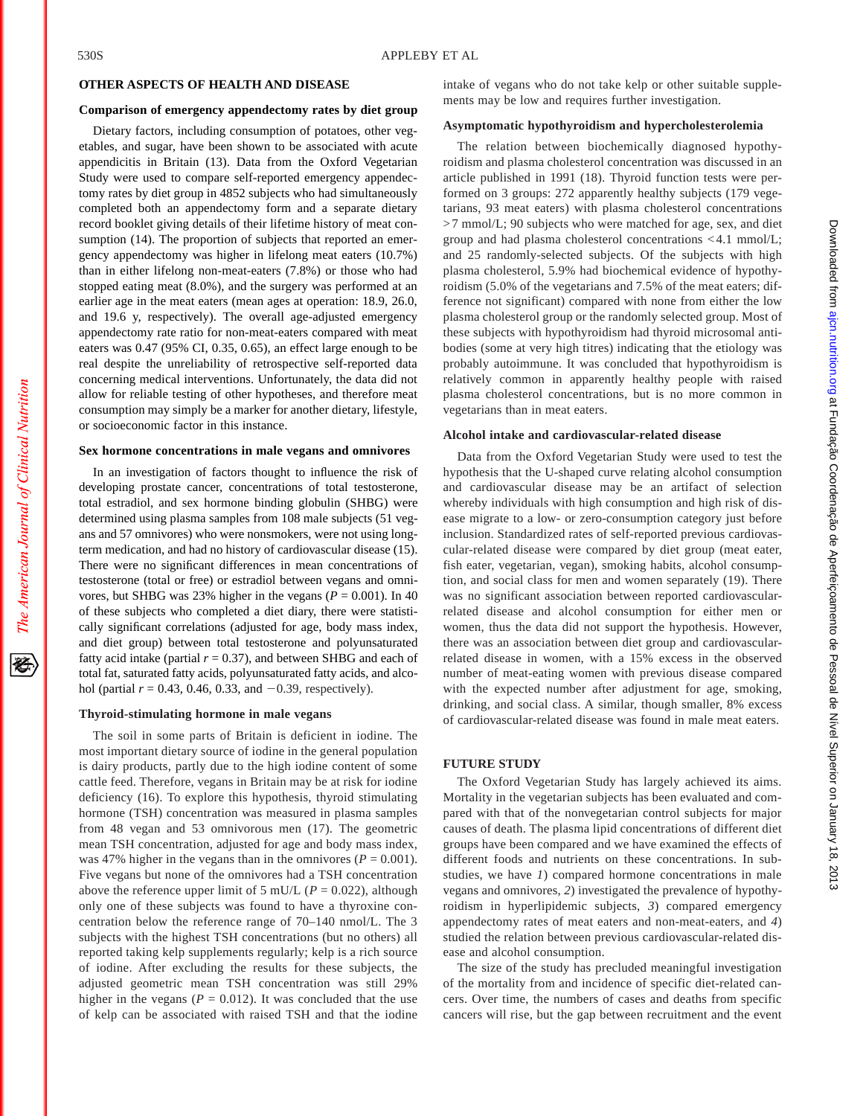The American Journal of Clinical Nutrition

# **OTHER ASPECTS OF HEALTH AND DISEASE**

#### **Comparison of emergency appendectomy rates by diet group**

Dietary factors, including consumption of potatoes, other vegetables, and sugar, have been shown to be associated with acute appendicitis in Britain (13). Data from the Oxford Vegetarian Study were used to compare self-reported emergency appendectomy rates by diet group in 4852 subjects who had simultaneously completed both an appendectomy form and a separate dietary record booklet giving details of their lifetime history of meat consumption (14). The proportion of subjects that reported an emergency appendectomy was higher in lifelong meat eaters (10.7%) than in either lifelong non-meat-eaters (7.8%) or those who had stopped eating meat (8.0%), and the surgery was performed at an earlier age in the meat eaters (mean ages at operation: 18.9, 26.0, and 19.6 y, respectively). The overall age-adjusted emergency appendectomy rate ratio for non-meat-eaters compared with meat eaters was 0.47 (95% CI, 0.35, 0.65), an effect large enough to be real despite the unreliability of retrospective self-reported data concerning medical interventions. Unfortunately, the data did not allow for reliable testing of other hypotheses, and therefore meat consumption may simply be a marker for another dietary, lifestyle, or socioeconomic factor in this instance.

#### **Sex hormone concentrations in male vegans and omnivores**

In an investigation of factors thought to influence the risk of developing prostate cancer, concentrations of total testosterone, total estradiol, and sex hormone binding globulin (SHBG) were determined using plasma samples from 108 male subjects (51 vegans and 57 omnivores) who were nonsmokers, were not using longterm medication, and had no history of cardiovascular disease (15). There were no significant differences in mean concentrations of testosterone (total or free) or estradiol between vegans and omnivores, but SHBG was 23% higher in the vegans ( $P = 0.001$ ). In 40 of these subjects who completed a diet diary, there were statistically significant correlations (adjusted for age, body mass index, and diet group) between total testosterone and polyunsaturated fatty acid intake (partial  $r = 0.37$ ), and between SHBG and each of total fat, saturated fatty acids, polyunsaturated fatty acids, and alcohol (partial  $r = 0.43, 0.46, 0.33,$  and  $-0.39$ , respectively).

#### **Thyroid-stimulating hormone in male vegans**

The soil in some parts of Britain is deficient in iodine. The most important dietary source of iodine in the general population is dairy products, partly due to the high iodine content of some cattle feed. Therefore, vegans in Britain may be at risk for iodine deficiency (16). To explore this hypothesis, thyroid stimulating hormone (TSH) concentration was measured in plasma samples from 48 vegan and 53 omnivorous men (17). The geometric mean TSH concentration, adjusted for age and body mass index, was 47% higher in the vegans than in the omnivores ( $P = 0.001$ ). Five vegans but none of the omnivores had a TSH concentration above the reference upper limit of 5 mU/L ( $P = 0.022$ ), although only one of these subjects was found to have a thyroxine concentration below the reference range of 70–140 nmol/L. The 3 subjects with the highest TSH concentrations (but no others) all reported taking kelp supplements regularly; kelp is a rich source of iodine. After excluding the results for these subjects, the adjusted geometric mean TSH concentration was still 29% higher in the vegans ( $P = 0.012$ ). It was concluded that the use of kelp can be associated with raised TSH and that the iodine intake of vegans who do not take kelp or other suitable supplements may be low and requires further investigation.

## **Asymptomatic hypothyroidism and hypercholesterolemia**

The relation between biochemically diagnosed hypothyroidism and plasma cholesterol concentration was discussed in an article published in 1991 (18). Thyroid function tests were performed on 3 groups: 272 apparently healthy subjects (179 vegetarians, 93 meat eaters) with plasma cholesterol concentrations >7 mmol/L; 90 subjects who were matched for age, sex, and diet group and had plasma cholesterol concentrations <4.1 mmol/L; and 25 randomly-selected subjects. Of the subjects with high plasma cholesterol, 5.9% had biochemical evidence of hypothyroidism (5.0% of the vegetarians and 7.5% of the meat eaters; difference not significant) compared with none from either the low plasma cholesterol group or the randomly selected group. Most of these subjects with hypothyroidism had thyroid microsomal antibodies (some at very high titres) indicating that the etiology was probably autoimmune. It was concluded that hypothyroidism is relatively common in apparently healthy people with raised plasma cholesterol concentrations, but is no more common in vegetarians than in meat eaters.

# **Alcohol intake and cardiovascular-related disease**

Data from the Oxford Vegetarian Study were used to test the hypothesis that the U-shaped curve relating alcohol consumption and cardiovascular disease may be an artifact of selection whereby individuals with high consumption and high risk of disease migrate to a low- or zero-consumption category just before inclusion. Standardized rates of self-reported previous cardiovascular-related disease were compared by diet group (meat eater, fish eater, vegetarian, vegan), smoking habits, alcohol consumption, and social class for men and women separately (19). There was no significant association between reported cardiovascularrelated disease and alcohol consumption for either men or women, thus the data did not support the hypothesis. However, there was an association between diet group and cardiovascularrelated disease in women, with a 15% excess in the observed number of meat-eating women with previous disease compared with the expected number after adjustment for age, smoking, drinking, and social class. A similar, though smaller, 8% excess of cardiovascular-related disease was found in male meat eaters.

# **FUTURE STUDY**

The Oxford Vegetarian Study has largely achieved its aims. Mortality in the vegetarian subjects has been evaluated and compared with that of the nonvegetarian control subjects for major causes of death. The plasma lipid concentrations of different diet groups have been compared and we have examined the effects of different foods and nutrients on these concentrations. In substudies, we have *1*) compared hormone concentrations in male vegans and omnivores, *2*) investigated the prevalence of hypothyroidism in hyperlipidemic subjects, *3*) compared emergency appendectomy rates of meat eaters and non-meat-eaters, and *4*) studied the relation between previous cardiovascular-related disease and alcohol consumption.

The size of the study has precluded meaningful investigation of the mortality from and incidence of specific diet-related cancers. Over time, the numbers of cases and deaths from specific cancers will rise, but the gap between recruitment and the event